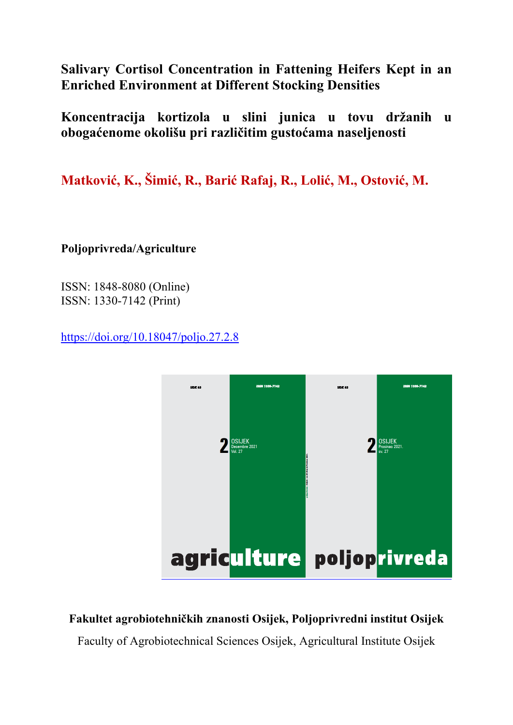**Salivary Cortisol Concentration in Fattening Heifers Kept in an Enriched Environment at Different Stocking Densities**

**Koncentracija kortizola u slini junica u tovu držanih u obogaćenome okolišu pri različitim gustoćama naseljenosti** 

**Matković, K., Šimić, R., Barić Rafaj, R., Lolić, M., Ostović, M.** 

**Poljoprivreda/Agriculture** 

ISSN: 1848-8080 (Online) ISSN: 1330-7142 (Print)

https://doi.org/10.18047/poljo.27.2.8



**Fakultet agrobiotehničkih znanosti Osijek, Poljoprivredni institut Osijek** 

Faculty of Agrobiotechnical Sciences Osijek, Agricultural Institute Osijek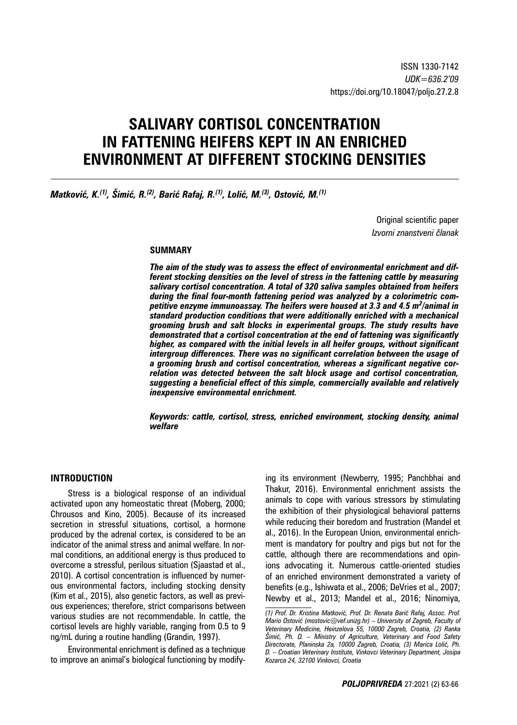# **SALIVARY CORTISOL CONCENTRATION IN FATTENING HEIFERS KEPT IN AN ENRICHED ENVIRONMENT AT DIFFERENT STOCKING DENSITIES**

*Matković, K.(1), Šimić, R.(2), Barić Rafaj, R.(1), Lolić, M.(3), Ostović, M.(1)*

Original scientific paper *Izvorni znanstveni članak*

## **SUMMARY**

*The aim of the study was to assess the effect of environmental enrichment and different stocking densities on the level of stress in the fattening cattle by measuring salivary cortisol concentration. A total of 320 saliva samples obtained from heifers during the final four-month fattening period was analyzed by a colorimetric competitive enzyme immunoassay. The heifers were housed at 3.3 and 4.5 m<sup>2</sup> /animal in standard production conditions that were additionally enriched with a mechanical grooming brush and salt blocks in experimental groups. The study results have demonstrated that a cortisol concentration at the end of fattening was significantly higher, as compared with the initial levels in all heifer groups, without significant intergroup differences. There was no significant correlation between the usage of a grooming brush and cortisol concentration, whereas a significant negative correlation was detected between the salt block usage and cortisol concentration, suggesting a beneficial effect of this simple, commercially available and relatively inexpensive environmental enrichment.*

*Keywords: cattle, cortisol, stress, enriched environment, stocking density, animal welfare*

## **INTRODUCTION**

Stress is a biological response of an individual activated upon any homeostatic threat (Moberg, 2000; Chrousos and Kino, 2005). Because of its increased secretion in stressful situations, cortisol, a hormone produced by the adrenal cortex, is considered to be an indicator of the animal stress and animal welfare. In normal conditions, an additional energy is thus produced to overcome a stressful, perilous situation (Sjaastad et al., 2010). A cortisol concentration is influenced by numerous environmental factors, including stocking density (Kim et al., 2015), also genetic factors, as well as previous experiences; therefore, strict comparisons between various studies are not recommendable. In cattle, the cortisol levels are highly variable, ranging from 0.5 to 9 ng/mL during a routine handling (Grandin, 1997).

Environmental enrichment is defined as a technique to improve an animal's biological functioning by modifying its environment (Newberry, 1995; Panchbhai and Thakur, 2016). Environmental enrichment assists the animals to cope with various stressors by stimulating the exhibition of their physiological behavioral patterns while reducing their boredom and frustration (Mandel et al., 2016). In the European Union, environmental enrichment is mandatory for poultry and pigs but not for the cattle, although there are recommendations and opinions advocating it. Numerous cattle-oriented studies of an enriched environment demonstrated a variety of benefits (e.g., Ishiwata et al., 2006; DeVries et al., 2007; Newby et al., 2013; Mandel et al., 2016; Ninomiya,

*<sup>(1)</sup> Prof. Dr. Kristina Matković, Prof. Dr. Renata Barić Rafaj, Assoc. Prof. Mario Ostović (mostovic@vef.unizg.hr) – University of Zagreb, Faculty of Veterinary Medicine, Heinzelova 55, 10000 Zagreb, Croatia, (2) Ranka Šimić, Ph. D. – Ministry of Agriculture, Veterinary and Food Safety Directorate, Planinska 2a, 10000 Zagreb, Croatia, (3) Marica Lolić, Ph. D. – Croatian Veterinary Institute, Vinkovci Veterinary Department, Josipa Kozarca 24, 32100 Vinkovci, Croatia*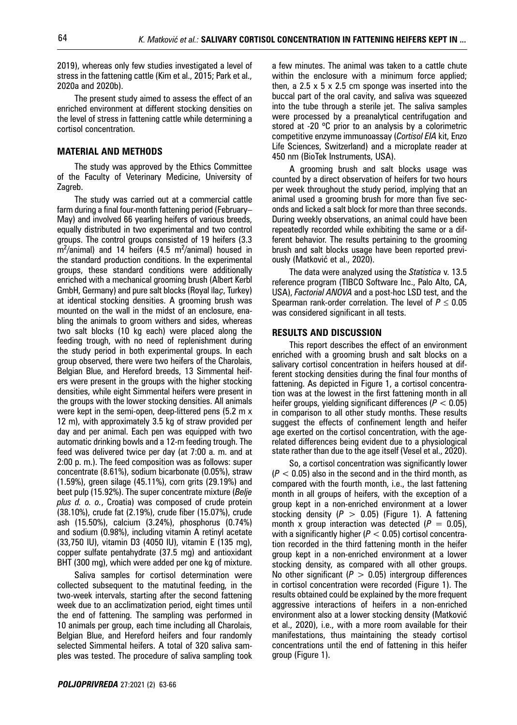2019), whereas only few studies investigated a level of stress in the fattening cattle (Kim et al., 2015; Park et al., 2020a and 2020b).

The present study aimed to assess the effect of an enriched environment at different stocking densities on the level of stress in fattening cattle while determining a cortisol concentration.

# **MATERIAL AND METHODS**

The study was approved by the Ethics Committee of the Faculty of Veterinary Medicine, University of Zagreb.

The study was carried out at a commercial cattle farm during a final four-month fattening period (February– May) and involved 66 yearling heifers of various breeds, equally distributed in two experimental and two control groups. The control groups consisted of 19 heifers (3.3 m2 /animal) and 14 heifers (4.5 m2 /animal) housed in the standard production conditions. In the experimental groups, these standard conditions were additionally enriched with a mechanical grooming brush (Albert Kerbl GmbH, Germany) and pure salt blocks (Royal İla*ҫ*, Turkey) at identical stocking densities. A grooming brush was mounted on the wall in the midst of an enclosure, enabling the animals to groom withers and sides, whereas two salt blocks (10 kg each) were placed along the feeding trough, with no need of replenishment during the study period in both experimental groups. In each group observed, there were two heifers of the Charolais, Belgian Blue, and Hereford breeds, 13 Simmental heifers were present in the groups with the higher stocking densities, while eight Simmental heifers were present in the groups with the lower stocking densities. All animals were kept in the semi-open, deep-littered pens (5.2 m x 12 m), with approximately 3.5 kg of straw provided per day and per animal. Each pen was equipped with two automatic drinking bowls and a 12-m feeding trough. The feed was delivered twice per day (at 7:00 a. m. and at 2:00 p. m.). The feed composition was as follows: super concentrate (8.61%), sodium bicarbonate (0.05%), straw (1.59%), green silage (45.11%), corn grits (29.19%) and beet pulp (15.92%). The super concentrate mixture (*Belje plus d. o. o.*, Croatia) was composed of crude protein (38.10%), crude fat (2.19%), crude fiber (15.07%), crude ash (15.50%), calcium (3.24%), phosphorus (0.74%) and sodium (0.98%), including vitamin A retinyl acetate (33,750 IU), vitamin D3 (4050 IU), vitamin E (135 mg), copper sulfate pentahydrate (37.5 mg) and antioxidant BHT (300 mg), which were added per one kg of mixture.

Saliva samples for cortisol determination were collected subsequent to the matutinal feeding, in the two-week intervals, starting after the second fattening week due to an acclimatization period, eight times until the end of fattening. The sampling was performed in 10 animals per group, each time including all Charolais, Belgian Blue, and Hereford heifers and four randomly selected Simmental heifers. A total of 320 saliva samples was tested. The procedure of saliva sampling took a few minutes. The animal was taken to a cattle chute within the enclosure with a minimum force applied; then, a 2.5  $\times$  5  $\times$  2.5 cm sponge was inserted into the buccal part of the oral cavity, and saliva was squeezed into the tube through a sterile jet. The saliva samples were processed by a preanalytical centrifugation and stored at -20 °C prior to an analysis by a colorimetric competitive enzyme immunoassay (*Cortisol EIA* kit, Enzo Life Sciences, Switzerland) and a microplate reader at 450 nm (BioTek Instruments, USA).

A grooming brush and salt blocks usage was counted by a direct observation of heifers for two hours per week throughout the study period, implying that an animal used a grooming brush for more than five seconds and licked a salt block for more than three seconds. During weekly observations, an animal could have been repeatedly recorded while exhibiting the same or a different behavior. The results pertaining to the grooming brush and salt blocks usage have been reported previously (Matković et al., 2020).

The data were analyzed using the *Statistica* v. 13.5 reference program (TIBCO Software Inc., Palo Alto, CA, USA), *Factorial ANOVA* and a post-hoc LSD test, and the Spearman rank-order correlation. The level of  $P \leq 0.05$ was considered significant in all tests.

#### **RESULTS AND DISCUSSION**

This report describes the effect of an environment enriched with a grooming brush and salt blocks on a salivary cortisol concentration in heifers housed at different stocking densities during the final four months of fattening. As depicted in Figure 1, a cortisol concentration was at the lowest in the first fattening month in all heifer groups, yielding significant differences (*P* < 0.05) in comparison to all other study months. These results suggest the effects of confinement length and heifer age exerted on the cortisol concentration, with the agerelated differences being evident due to a physiological state rather than due to the age itself (Vesel et al., 2020).

So, a cortisol concentration was significantly lower  $(P < 0.05)$  also in the second and in the third month, as compared with the fourth month, i.e., the last fattening month in all groups of heifers, with the exception of a group kept in a non-enriched environment at a lower stocking density (*P* > 0.05) (Figure 1). A fattening month x group interaction was detected  $(P = 0.05)$ , with a significantly higher (*P* < 0.05) cortisol concentration recorded in the third fattening month in the heifer group kept in a non-enriched environment at a lower stocking density, as compared with all other groups. No other significant  $(P > 0.05)$  intergroup differences in cortisol concentration were recorded (Figure 1). The results obtained could be explained by the more frequent aggressive interactions of heifers in a non-enriched environment also at a lower stocking density (Matković et al., 2020), i.e., with a more room available for their manifestations, thus maintaining the steady cortisol concentrations until the end of fattening in this heifer group (Figure 1).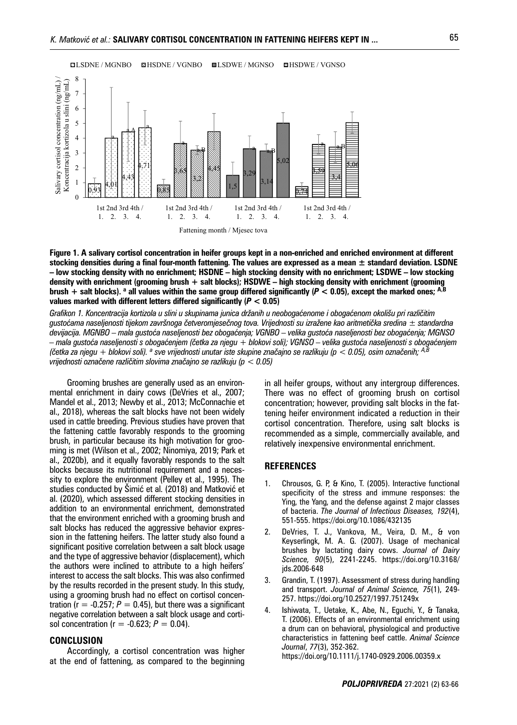

**Figure 1. A salivary cortisol concentration in heifer groups kept in a non-enriched and enriched environment at different stocking densities during a final four-month fattening. The values are expressed as a mean ± standard deviation. LSDNE – low stocking density with no enrichment; HSDNE – high stocking density with no enrichment; LSDWE – low stocking density with enrichment (grooming brush + salt blocks); HSDWE – high stocking density with enrichment (grooming brush + salt blocks). <sup>a</sup> all values within the same group differed significantly (***P* **< 0.05), except the marked ones; A,B** values marked with different letters differed significantly  $(P < 0.05)$ 

*Grafikon 1. Koncentracija kortizola u slini u skupinama junica držanih u neobogaćenome i obogaćenom okolišu pri različitim gustoćama naseljenosti tijekom završnoga četveromjesečnog tova. Vrijednosti su izražene kao aritmetička sredina ± standardna devijacija. MGNBO – mala gustoća naseljenosti bez obogaćenja; VGNBO – velika gustoća naseljenosti bez obogaćenja; MGNSO – mala gustoća naseljenosti s obogaćenjem (četka za njegu + blokovi soli); VGNSO – velika gustoća naseljenosti s obogaćenjem (četka za njegu + blokovi soli). <sup>a</sup> sve vrijednosti unutar iste skupine značajno se razlikuju (p < 0.05), osim označenih; A,B vrijednosti označene različitim slovima značajno se razlikuju (p < 0.05)*

Grooming brushes are generally used as an environmental enrichment in dairy cows (DeVries et al., 2007; Mandel et al., 2013; Newby et al., 2013; McConnachie et al., 2018), whereas the salt blocks have not been widely used in cattle breeding. Previous studies have proven that the fattening cattle favorably responds to the grooming brush, in particular because its high motivation for grooming is met (Wilson et al., 2002; Ninomiya, 2019; Park et al., 2020b), and it equally favorably responds to the salt blocks because its nutritional requirement and a necessity to explore the environment (Pelley et al., 1995). The studies conducted by Šimić et al. (2018) and Matković et al. (2020), which assessed different stocking densities in addition to an environmental enrichment, demonstrated that the environment enriched with a grooming brush and salt blocks has reduced the aggressive behavior expression in the fattening heifers. The latter study also found a significant positive correlation between a salt block usage and the type of aggressive behavior (displacement), which the authors were inclined to attribute to a high heifers' interest to access the salt blocks. This was also confirmed by the results recorded in the present study. In this study, using a grooming brush had no effect on cortisol concentration ( $r = -0.257$ ;  $P = 0.45$ ), but there was a significant negative correlation between a salt block usage and cortisol concentration ( $r = -0.623$ ;  $P = 0.04$ ).

# **CONCLUSION**

Accordingly, a cortisol concentration was higher at the end of fattening, as compared to the beginning in all heifer groups, without any intergroup differences. There was no effect of grooming brush on cortisol concentration; however, providing salt blocks in the fattening heifer environment indicated a reduction in their cortisol concentration. Therefore, using salt blocks is recommended as a simple, commercially available, and relatively inexpensive environmental enrichment.

#### **REFERENCES**

- 1. Chrousos, G. P, & Kino, T. (2005). Interactive functional specificity of the stress and immune responses: the Ying, the Yang, and the defense against 2 major classes of bacteria. *The Journal of Infectious Diseases, 192*(4), 551-555. https://doi.org/10.1086/432135
- 2. DeVries, T. J., Vankova, M., Veira, D. M., & von Keyserlingk, M. A. G. (2007). Usage of mechanical brushes by lactating dairy cows. *Journal of Dairy Science, 90*(5), 2241-2245. https://doi.org/10.3168/ jds.2006-648
- 3. Grandin, T. (1997). Assessment of stress during handling and transport. *Journal of Animal Science, 75*(1), 249- 257. https://doi.org/10.2527/1997.751249x
- 4. Ishiwata, T., Uetake, K., Abe, N., Eguchi, Y., & Tanaka, T. (2006). Effects of an environmental enrichment using a drum can on behavioral, physiological and productive characteristics in fattening beef cattle. *Animal Science Journal*, *77*(3), 352-362. https://doi.org/10.1111/j.1740-0929.2006.00359.x